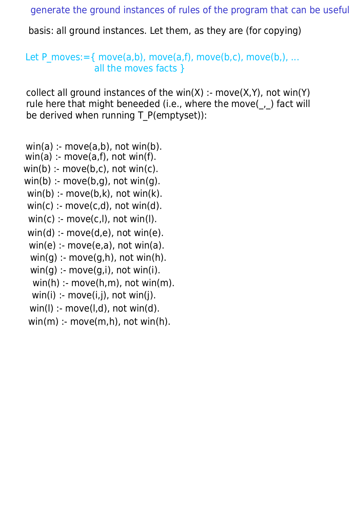generate the ground instances of rules of the program that can be useful

basis: all ground instances. Let them, as they are (for copying)

Let P moves:  $=$  { move(a,b), move(a,f), move(b,c), move(b,), ... all the moves facts }

collect all ground instances of the win(X) :- move(X,Y), not win(Y) rule here that might beneeded (i.e., where the move(, ) fact will be derived when running T\_P(emptyset)):

 $win(a)$ : move $(a,b)$ , not win $(b)$ .  $win(a)$ : move $(a,f)$ , not win(f).  $win(b)$ : move $(b, c)$ , not win $(c)$ .  $win(b)$  :- move $(b,g)$ , not win $(g)$ .  $win(b)$  :- move $(b,k)$ , not win $(k)$ .  $win(c)$ : move $(c,d)$ , not win(d).  $win(c)$  :- move $(c, l)$ , not win(l).  $win(d)$  :- move $(d,e)$ , not win $(e)$ .  $win(e)$  :- move $(e,a)$ , not win $(a)$ .  $win(q)$ : move $(q,h)$ , not win(h).  $win(q)$  :- move $(q,i)$ , not win(i).  $win(h)$  :- move $(h,m)$ , not win $(m)$ .  $win(i)$  :- move $(i,j)$ , not win $(j)$ .  $win(I)$  :- move $(I,d)$ , not win $(d)$ .  $win(m)$  :- move $(m,h)$ , not win(h).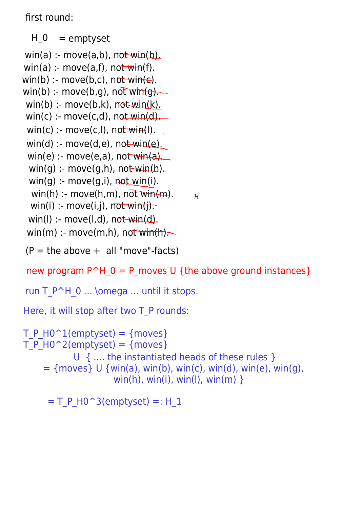first round:

```
win(a) :- move(a,f), not win(f).
win(b) :- move(b,c), not win(e).
win(b) :- move(b,g), not \overline{\text{wind}}.
win(b): move(b,k), not win(k).
win(c) :- move(c,d), not win(d).
win(d) :- move(d,e), not win(e).
 win(e) :- move(e,a), not win(a).
 win(q) :- move(q,h), not win(h).
 win(q) :- move(q,i), not win(i).
  win(h): move(h,m), not win(m).
 win(i) :- move(i,j), not win(j).
 win(l) :- move(l,d), not win(d).
 win(m) :- move(m,h), not win(h).
win(a): move(a,b), not win(b).
  H_0 = emptyset
 win(c) :- move(c, l), not win(l).
```

```
(P = the above + all "move"-facts)
```
new program  $P^H$  0 = P moves U {the above ground instances}

 $\mathcal{H}$ 

```
win(h), win(i), win(l), win(m) \}run T_P^H_0 ... \omega ... until it stops.
Here, it will stop after two T_P rounds:
T P H0^1(emptyset) = {moves}
T P H0^2(emptyset) = {moves}
            U { .... the instantiated heads of these rules }
    = {moves} U {win(a), win(b), win(c), win(d), win(e), win(q),
```
 $= T$  P H0^3(emptyset) =: H 1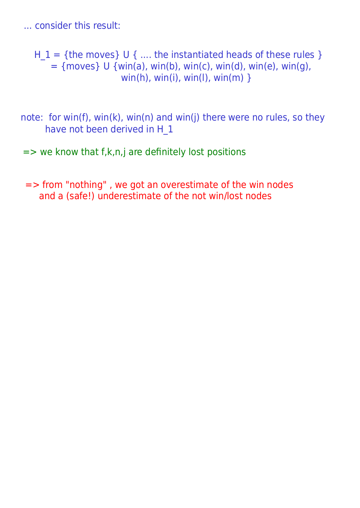... consider this result:

 $H_1 = \{$ the moves $\}$  U  $\{$  .... the instantiated heads of these rules  $\}$  $=$  {moves} U {win(a), win(b), win(c), win(d), win(e), win(g), win(h), win(i), win(l), win(m)  $\}$ 

note: for win(f), win(k), win(n) and win(j) there were no rules, so they have not been derived in H\_1

 $=$  we know that f,k,n,j are definitely lost positions

=> from "nothing" , we got an overestimate of the win nodes and a (safe!) underestimate of the not win/lost nodes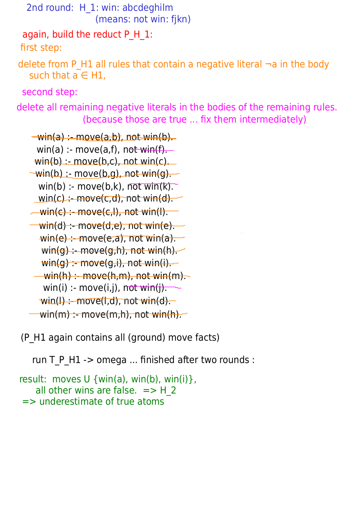```
2nd round: H 1: win: abcdeghilm
                  (means: not win: fikn)
first step:
second step:
 again, build the reduct P_H_1: 
delete from P H1 all rules that contain a negative literal \neg a in the body
  such that a \in H1.
```
delete all remaining negative literals in the bodies of the remaining rules. (because those are true ... fix them intermediately)

```
\rightarrow win(a) :- move(a,b), not win(b).
 win(a) :- move(a,f), not win(f).
 win(b) := move(b, c), not win(c).
\rightarrow win(b) :- move(b,g), not win(g).
  win(b) :- move(b,k), not win(k).
 win(c) :- move(c,d), not win(d).
- win(c) :- move(c,l), not win(l).
 \overline{\textsf{win}}(\textsf{d}) :- move(d,e), not win(e).
  win(e) :- move(e, a), not win(a).
   win(q): move(q,h), not win(h).
   win(q) :- move(q,i), not win(i).
 \frac{1}{2} win(h) :- move(h,m), not win(m).
   win(i) :- move(i,j), not win(j).
  win(I) :- move(l,d), not win(d).
  win(m) :- move(m,h), not win(h).
```
(P\_H1 again contains all (ground) move facts)

run T P H1 -> omega ... finished after two rounds :

```
result: moves U {win(a), win(b), win(i) },
    all other wins are false. \Rightarrow H 2
 => underestimate of true atoms
```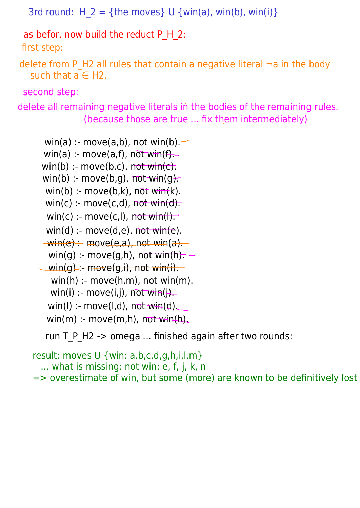```
3rd round: H 2 = {the moves} U {win(a), win(b), win(i)}
```
as befor, now build the reduct P H 2:

first step:

delete from P H2 all rules that contain a negative literal  $\neg$  a in the body such that  $a \in H2$ ,

second step:

delete all remaining negative literals in the bodies of the remaining rules. (because those are true ... fix them intermediately)

```
win(a) :- move(a,f), not win(f).
  win(b) :- move(b,k), not win(k).
  win(c) :- move(c,d), not win(d).
  win(c) :- move(c,l), not win(l).
  win(d) :- move(d,e), not win(e).
 -win(e) :- move(e,a), not win(a).
  win(g) :- move(g,h), not win(h).
\sim win(g) :- move(g,i), not win(i).
   win(h) :- move(h,m), n<del>ot win(m).</del>
   win(i) :- move(i,j), not win(i).
  win(I) :- move(l,d), not win(d).
  win(m) :- move(m,h), not win(h).
\overline{-win(a)} :- move(a,b), not win(b).
 win(b) :- move(b,c), not win(c).
 win(b) :- move(b,g), not win(g).
```
run T\_P\_H2 -> omega ... finished again after two rounds:

```
result: moves U {win: a,b,c,d,g,h,i,l,m}
   ... what is missing: not win: e, f, j, k, n 
=> overestimate of win, but some (more) are known to be definitively lost
```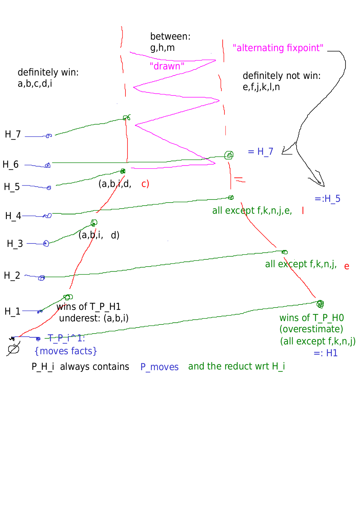